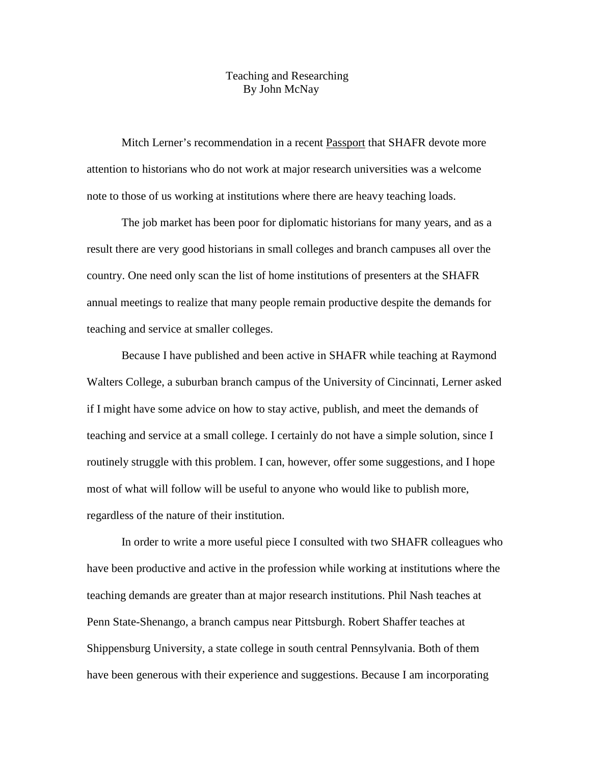## Teaching and Researching By John McNay

Mitch Lerner's recommendation in a recent Passport that SHAFR devote more attention to historians who do not work at major research universities was a welcome note to those of us working at institutions where there are heavy teaching loads.

 The job market has been poor for diplomatic historians for many years, and as a result there are very good historians in small colleges and branch campuses all over the country. One need only scan the list of home institutions of presenters at the SHAFR annual meetings to realize that many people remain productive despite the demands for teaching and service at smaller colleges.

 Because I have published and been active in SHAFR while teaching at Raymond Walters College, a suburban branch campus of the University of Cincinnati, Lerner asked if I might have some advice on how to stay active, publish, and meet the demands of teaching and service at a small college. I certainly do not have a simple solution, since I routinely struggle with this problem. I can, however, offer some suggestions, and I hope most of what will follow will be useful to anyone who would like to publish more, regardless of the nature of their institution.

In order to write a more useful piece I consulted with two SHAFR colleagues who have been productive and active in the profession while working at institutions where the teaching demands are greater than at major research institutions. Phil Nash teaches at Penn State-Shenango, a branch campus near Pittsburgh. Robert Shaffer teaches at Shippensburg University, a state college in south central Pennsylvania. Both of them have been generous with their experience and suggestions. Because I am incorporating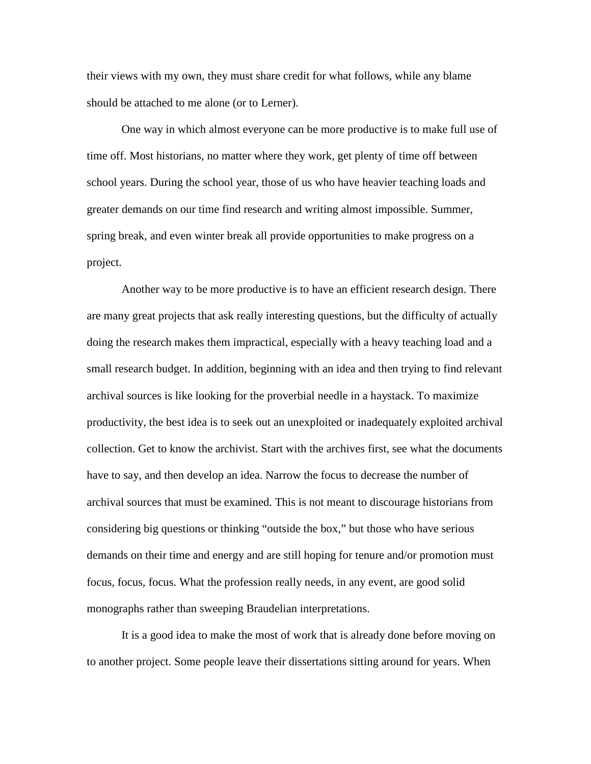their views with my own, they must share credit for what follows, while any blame should be attached to me alone (or to Lerner).

One way in which almost everyone can be more productive is to make full use of time off. Most historians, no matter where they work, get plenty of time off between school years. During the school year, those of us who have heavier teaching loads and greater demands on our time find research and writing almost impossible. Summer, spring break, and even winter break all provide opportunities to make progress on a project.

Another way to be more productive is to have an efficient research design. There are many great projects that ask really interesting questions, but the difficulty of actually doing the research makes them impractical, especially with a heavy teaching load and a small research budget. In addition, beginning with an idea and then trying to find relevant archival sources is like looking for the proverbial needle in a haystack. To maximize productivity, the best idea is to seek out an unexploited or inadequately exploited archival collection. Get to know the archivist. Start with the archives first, see what the documents have to say, and then develop an idea. Narrow the focus to decrease the number of archival sources that must be examined. This is not meant to discourage historians from considering big questions or thinking "outside the box," but those who have serious demands on their time and energy and are still hoping for tenure and/or promotion must focus, focus, focus. What the profession really needs, in any event, are good solid monographs rather than sweeping Braudelian interpretations.

It is a good idea to make the most of work that is already done before moving on to another project. Some people leave their dissertations sitting around for years. When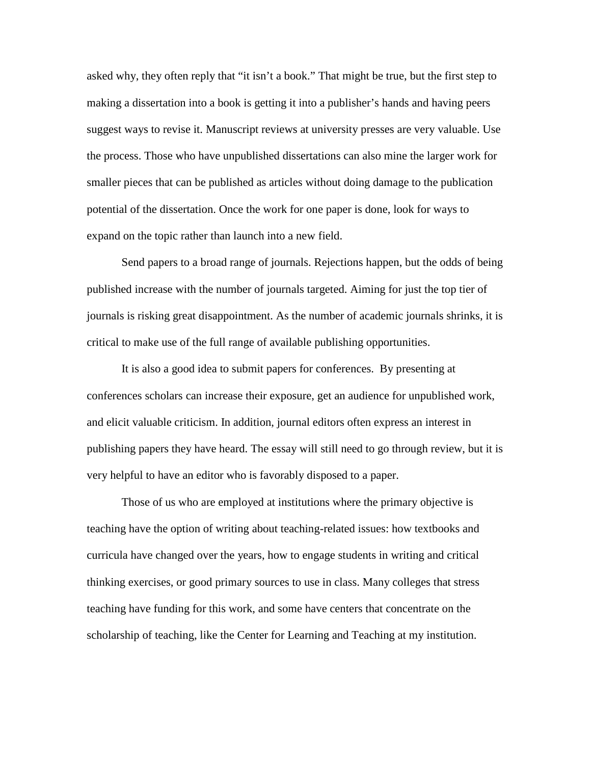asked why, they often reply that "it isn't a book." That might be true, but the first step to making a dissertation into a book is getting it into a publisher's hands and having peers suggest ways to revise it. Manuscript reviews at university presses are very valuable. Use the process. Those who have unpublished dissertations can also mine the larger work for smaller pieces that can be published as articles without doing damage to the publication potential of the dissertation. Once the work for one paper is done, look for ways to expand on the topic rather than launch into a new field.

Send papers to a broad range of journals. Rejections happen, but the odds of being published increase with the number of journals targeted. Aiming for just the top tier of journals is risking great disappointment. As the number of academic journals shrinks, it is critical to make use of the full range of available publishing opportunities.

It is also a good idea to submit papers for conferences. By presenting at conferences scholars can increase their exposure, get an audience for unpublished work, and elicit valuable criticism. In addition, journal editors often express an interest in publishing papers they have heard. The essay will still need to go through review, but it is very helpful to have an editor who is favorably disposed to a paper.

Those of us who are employed at institutions where the primary objective is teaching have the option of writing about teaching-related issues: how textbooks and curricula have changed over the years, how to engage students in writing and critical thinking exercises, or good primary sources to use in class. Many colleges that stress teaching have funding for this work, and some have centers that concentrate on the scholarship of teaching, like the Center for Learning and Teaching at my institution.